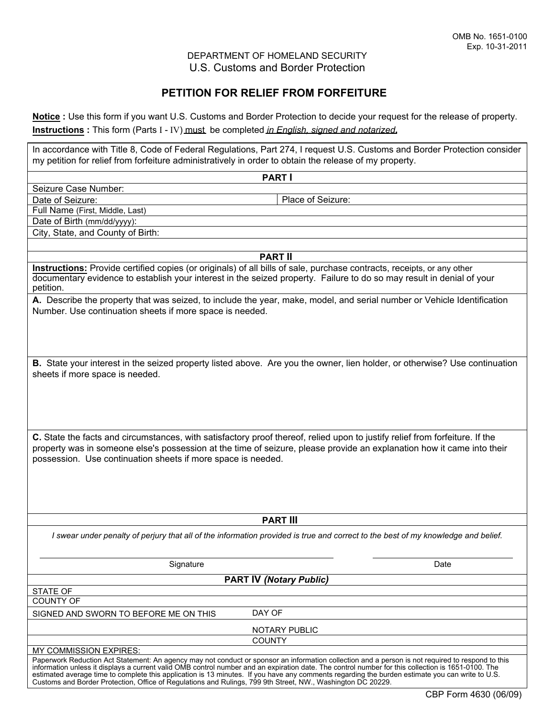## DEPARTMENT OF HOMELAND SECURITY U.S. Customs and Border Protection

## **PETITION FOR RELIEF FROM FORFEITURE**

**Notice :** Use this form if you want U.S. Customs and Border Protection to decide your request for the release of property. **Instructions :** This form (Parts I - IV) must be completed *in English, signed and notarized***.**

In accordance with Title 8, Code of Federal Regulations, Part 274, I request U.S. Customs and Border Protection consider my petition for relief from forfeiture administratively in order to obtain the release of my property. **PART I**  Seizure Case Number: Date of Seizure: Place of Seizure: Full Name (First, Middle, Last) Date of Birth (mm/dd/yyyy): City, State, and County of Birth: **PART II Instructions:** Provide certified copies (or originals) of all bills of sale, purchase contracts, receipts, or any other documentary evidence to establish your interest in the seized property. Failure to do so may result in denial of your petition. **A.** Describe the property that was seized, to include the year, make, model, and serial number or Vehicle Identification Number. Use continuation sheets if more space is needed. **B.** State your interest in the seized property listed above. Are you the owner, lien holder, or otherwise? Use continuation sheets if more space is needed. **C.** State the facts and circumstances, with satisfactory proof thereof, relied upon to justify relief from forfeiture. If the property was in someone else's possession at the time of seizure, please provide an explanation how it came into their possession. Use continuation sheets if more space is needed. **PART III** *I swear under penalty of perjury that all of the information provided is true and correct to the best of my knowledge and belief.*  **PART IV** *(Notary Public)*  STATE OF COUNTY OF SIGNED AND SWORN TO BEFORE ME ON THIS NOTARY PUBLIC **COUNTY** MY COMMISSION EXPIRES: Paperwork Reduction Act Statement: An agency may not conduct or sponsor an information collection and a person is not required to respond to this information unless it displays a current valid OMB control number and an expiration date. The control number for this collection is 1651-0100. The estimated average time to complete this application is 13 minutes. If you have any comments regarding the burden estimate you can write to U.S. Customs and Border Protection, Office of Regulations and Rulings, 799 9th Street, NW., Washington DC 20229. CBP Form 4630 (06/09) Signature Date **Date** DAY OF